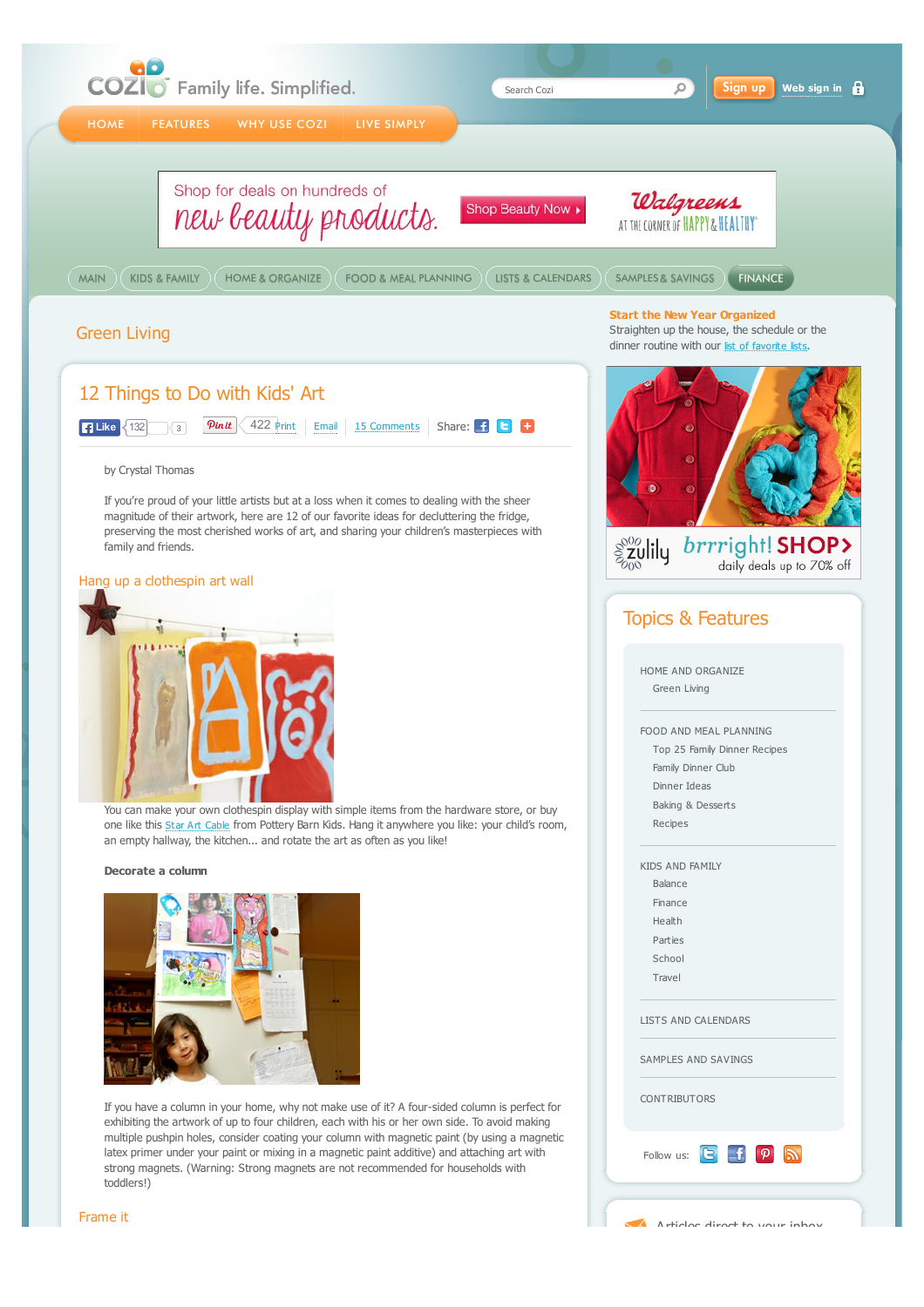

Articles direct to your inbox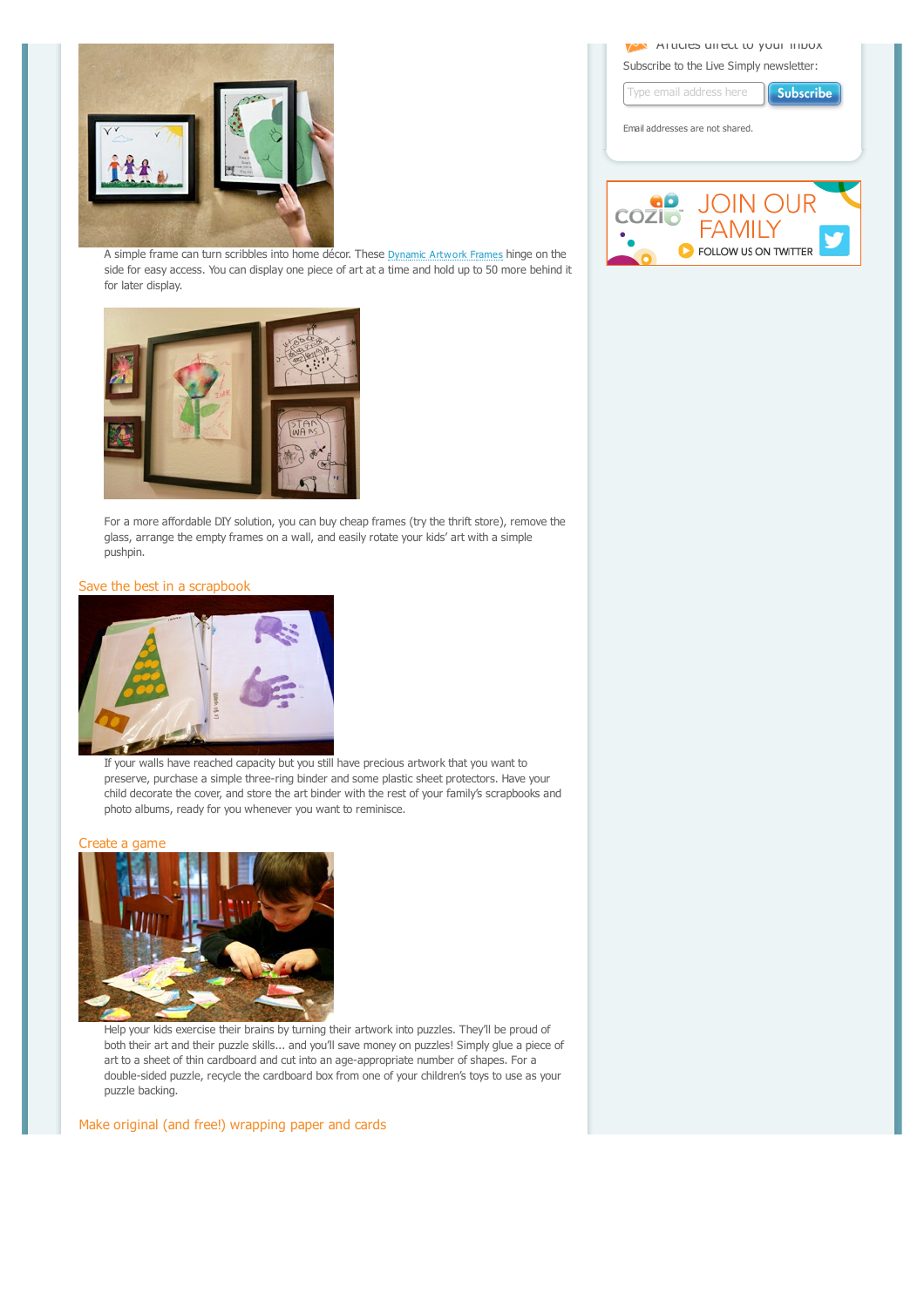

A simple frame can turn scribbles into home décor. These [Dynamic Artwork Frames](http://www.dynamicframes.com/) hinge on the side for easy access. You can display one piece of art at a time and hold up to 50 more behind it for later display.



For a more affordable DIY solution, you can buy cheap frames (try the thrift store), remove the glass, arrange the empty frames on a wall, and easily rotate your kids' art with a simple pushpin.

# Save the best in a scrapbook



If your walls have reached capacity but you still have precious artwork that you want to preserve, purchase a simple three-ring binder and some plastic sheet protectors. Have your child decorate the cover, and store the art binder with the rest of your family's scrapbooks and photo albums, ready for you whenever you want to reminisce.

#### Create a game



Help your kids exercise their brains by turning their artwork into puzzles. They'll be proud of both their art and their puzzle skills... and you'll save money on puzzles! Simply glue a piece of art to a sheet of thin cardboard and cut into an age-appropriate number of shapes. For a double-sided puzzle, recycle the cardboard box from one of your children's toys to use as your puzzle backing.

Make original (and free!) wrapping paper and cards

**Articles direct to your indox** Subscribe to the Live Simply newsletter:

| Subscribe<br>Type email address here                             |
|------------------------------------------------------------------|
| Email addresses are not shared.                                  |
|                                                                  |
| <b>JOIN OUR</b><br><b>COZI</b><br>FAMILY<br>FOLLOW US ON TWITTER |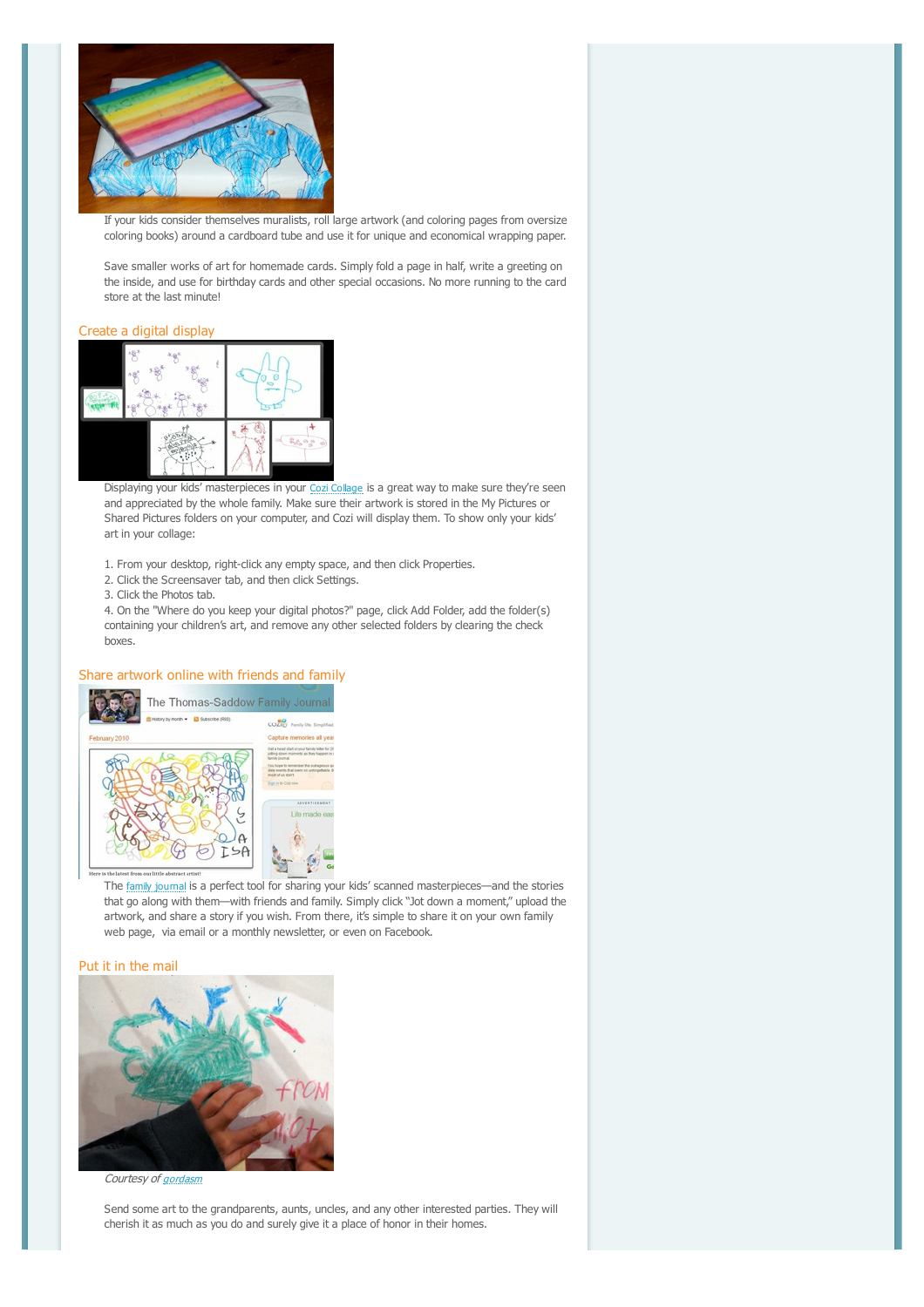

If your kids consider themselves muralists, roll large artwork (and coloring pages from oversize coloring books) around a cardboard tube and use it for unique and economical wrapping paper.

Save smaller works of art for homemade cards. Simply fold a page in half, write a greeting on the inside, and use for birthday cards and other special occasions. No more running to the card store at the last minute!

## Create a digital display



Displaying your kids' masterpieces in your [Cozi Collage](http://www.cozi.com/Photo-Screensaver.htm) is a great way to make sure they're seen and appreciated by the whole family. Make sure their artwork is stored in the My Pictures or Shared Pictures folders on your computer, and Cozi will display them. To show only your kids' art in your collage:

1. From your desktop, right-click any empty space, and then click Properties.

- 2. Click the Screensaver tab, and then click Settings.
- 3. Click the Photos tab.

4. On the "Where do you keep your digital photos?" page, click Add Folder, add the folder(s) containing your children's art, and remove any other selected folders by clearing the check boxes.

## Share artwork online with friends and family



The [family journal](http://www.cozi.com/Family-Journal.htm) is a perfect tool for sharing your kids' scanned masterpieces—and the stories that go along with them--with friends and family. Simply click "Jot down a moment," upload the artwork, and share a story if you wish. From there, it's simple to share it on your own family web page, via email or a monthly newsletter, or even on Facebook.

#### Put it in the mail



Courtesy of [gordasm](http://www.flickr.com/photos/fynes/1352756396/in/set-72157601941203333/)

Send some art to the grandparents, aunts, uncles, and any other interested parties. They will cherish it as much as you do and surely give it a place of honor in their homes.